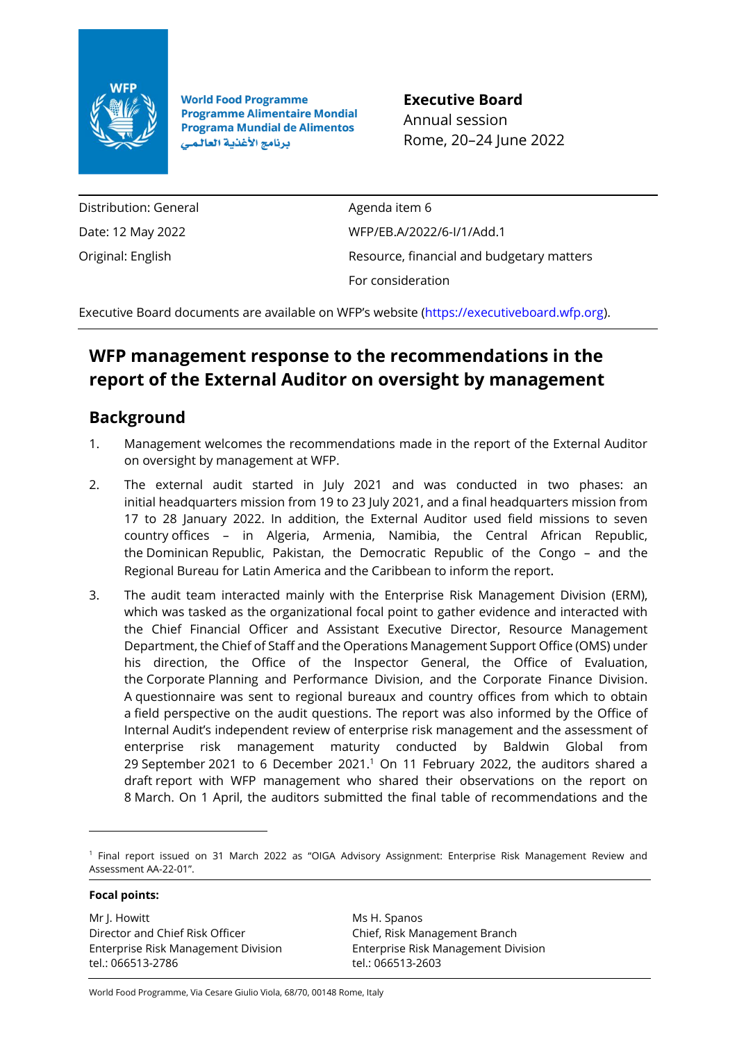

**World Food Programme Programme Alimentaire Mondial Programa Mundial de Alimentos** برنامج الأغذية العالمي

**Executive Board** Annual session Rome, 20–24 June 2022

Distribution: General Date: 12 May 2022 Original: English

Agenda item 6 WFP/EB.A/2022/6-I/1/Add.1 Resource, financial and budgetary matters For consideration

Executive Board documents are available on WFP's website [\(https://executiveboard.wfp.org\)](https://executiveboard.wfp.org/).

## **WFP management response to the recommendations in the report of the External Auditor on oversight by management**

## **Background**

- 1. Management welcomes the recommendations made in the report of the External Auditor on oversight by management at WFP.
- 2. The external audit started in July 2021 and was conducted in two phases: an initial headquarters mission from 19 to 23 July 2021, and a final headquarters mission from 17 to 28 January 2022. In addition, the External Auditor used field missions to seven country offices – in Algeria, Armenia, Namibia, the Central African Republic, the Dominican Republic, Pakistan, the Democratic Republic of the Congo – and the Regional Bureau for Latin America and the Caribbean to inform the report.
- 3. The audit team interacted mainly with the Enterprise Risk Management Division (ERM), which was tasked as the organizational focal point to gather evidence and interacted with the Chief Financial Officer and Assistant Executive Director, Resource Management Department, the Chief of Staff and the Operations Management Support Office (OMS) under his direction, the Office of the Inspector General, the Office of Evaluation, the Corporate Planning and Performance Division, and the Corporate Finance Division. A questionnaire was sent to regional bureaux and country offices from which to obtain a field perspective on the audit questions. The report was also informed by the Office of Internal Audit's independent review of enterprise risk management and the assessment of enterprise risk management maturity conducted by Baldwin Global from 29 September 2021 to 6 December 2021. <sup>1</sup> On 11 February 2022, the auditors shared a draft report with WFP management who shared their observations on the report on 8 March. On 1 April, the auditors submitted the final table of recommendations and the

**Focal points:**

Mr J. Howitt Director and Chief Risk Officer Enterprise Risk Management Division tel.: 066513-2786

Ms H. Spanos Chief, Risk Management Branch Enterprise Risk Management Division tel.: 066513-2603

World Food Programme, Via Cesare Giulio Viola, 68/70, 00148 Rome, Italy

<sup>1</sup> Final report issued on 31 March 2022 as "OIGA Advisory Assignment: Enterprise Risk Management Review and Assessment AA-22-01".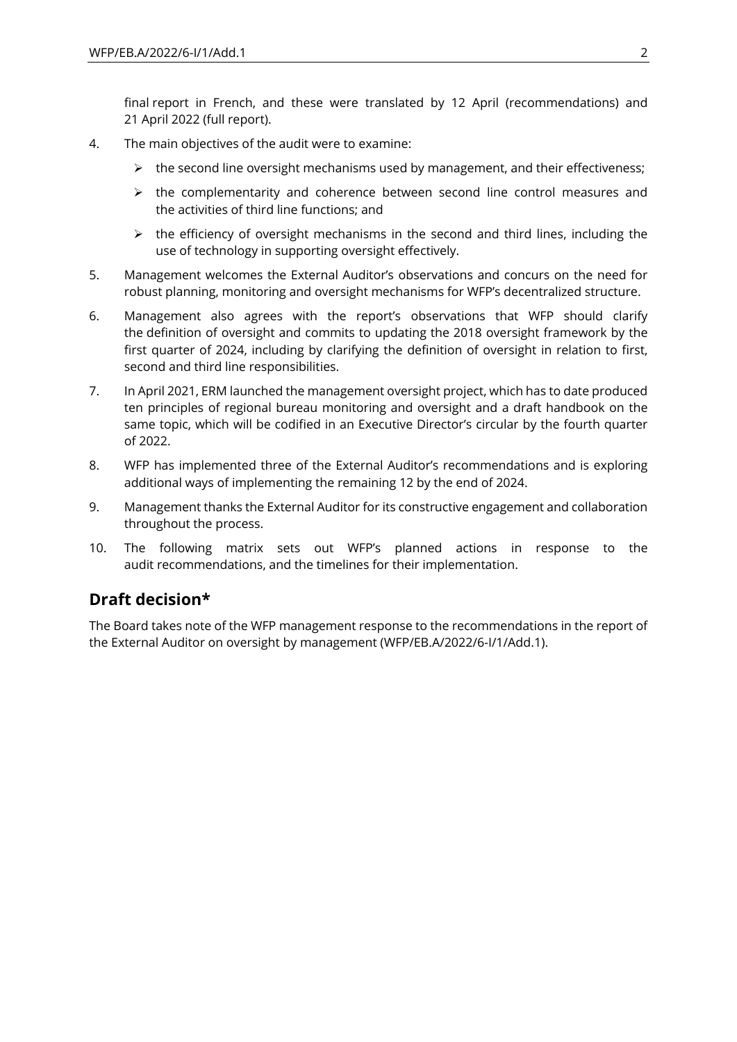final report in French, and these were translated by 12 April (recommendations) and 21 April 2022 (full report).

- 4. The main objectives of the audit were to examine:
	- $\triangleright$  the second line oversight mechanisms used by management, and their effectiveness;
	- $\triangleright$  the complementarity and coherence between second line control measures and the activities of third line functions; and
	- $\triangleright$  the efficiency of oversight mechanisms in the second and third lines, including the use of technology in supporting oversight effectively.
- 5. Management welcomes the External Auditor's observations and concurs on the need for robust planning, monitoring and oversight mechanisms for WFP's decentralized structure.
- 6. Management also agrees with the report's observations that WFP should clarify the definition of oversight and commits to updating the 2018 oversight framework by the first quarter of 2024, including by clarifying the definition of oversight in relation to first, second and third line responsibilities.
- 7. In April 2021, ERM launched the management oversight project, which has to date produced ten principles of regional bureau monitoring and oversight and a draft handbook on the same topic, which will be codified in an Executive Director's circular by the fourth quarter of 2022.
- 8. WFP has implemented three of the External Auditor's recommendations and is exploring additional ways of implementing the remaining 12 by the end of 2024.
- 9. Management thanks the External Auditor for its constructive engagement and collaboration throughout the process.
- 10. The following matrix sets out WFP's planned actions in response to the audit recommendations, and the timelines for their implementation.

## **Draft decision\***

The Board takes note of the WFP management response to the recommendations in the report of the External Auditor on oversight by management (WFP/EB.A/2022/6-I/1/Add.1).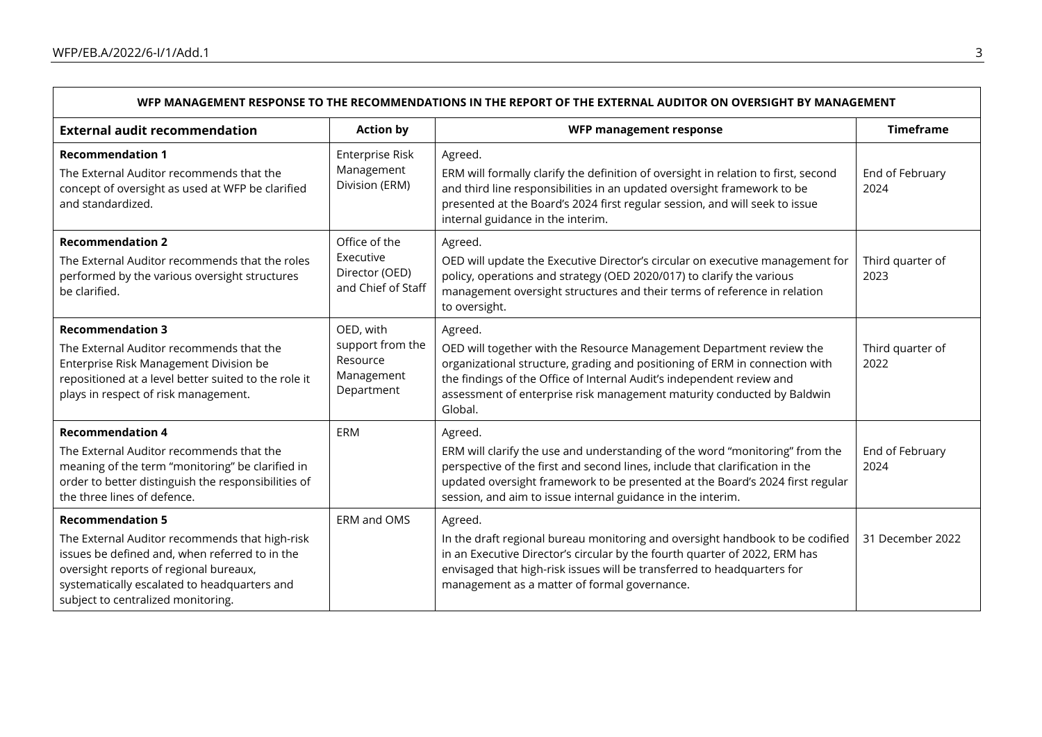$\mathsf{r}$ 

| WFP MANAGEMENT RESPONSE TO THE RECOMMENDATIONS IN THE REPORT OF THE EXTERNAL AUDITOR ON OVERSIGHT BY MANAGEMENT                                                                                                                                             |                                                                       |                                                                                                                                                                                                                                                                                                                              |                          |
|-------------------------------------------------------------------------------------------------------------------------------------------------------------------------------------------------------------------------------------------------------------|-----------------------------------------------------------------------|------------------------------------------------------------------------------------------------------------------------------------------------------------------------------------------------------------------------------------------------------------------------------------------------------------------------------|--------------------------|
| <b>External audit recommendation</b>                                                                                                                                                                                                                        | <b>Action by</b>                                                      | WFP management response                                                                                                                                                                                                                                                                                                      | <b>Timeframe</b>         |
| <b>Recommendation 1</b><br>The External Auditor recommends that the<br>concept of oversight as used at WFP be clarified<br>and standardized.                                                                                                                | Enterprise Risk<br>Management<br>Division (ERM)                       | Agreed.<br>ERM will formally clarify the definition of oversight in relation to first, second<br>and third line responsibilities in an updated oversight framework to be<br>presented at the Board's 2024 first regular session, and will seek to issue<br>internal guidance in the interim.                                 | End of February<br>2024  |
| <b>Recommendation 2</b><br>The External Auditor recommends that the roles<br>performed by the various oversight structures<br>be clarified.                                                                                                                 | Office of the<br>Executive<br>Director (OED)<br>and Chief of Staff    | Agreed.<br>OED will update the Executive Director's circular on executive management for<br>policy, operations and strategy (OED 2020/017) to clarify the various<br>management oversight structures and their terms of reference in relation<br>to oversight.                                                               | Third quarter of<br>2023 |
| <b>Recommendation 3</b><br>The External Auditor recommends that the<br>Enterprise Risk Management Division be<br>repositioned at a level better suited to the role it<br>plays in respect of risk management.                                               | OED, with<br>support from the<br>Resource<br>Management<br>Department | Agreed.<br>OED will together with the Resource Management Department review the<br>organizational structure, grading and positioning of ERM in connection with<br>the findings of the Office of Internal Audit's independent review and<br>assessment of enterprise risk management maturity conducted by Baldwin<br>Global. | Third quarter of<br>2022 |
| <b>Recommendation 4</b><br>The External Auditor recommends that the<br>meaning of the term "monitoring" be clarified in<br>order to better distinguish the responsibilities of<br>the three lines of defence.                                               | ERM                                                                   | Agreed.<br>ERM will clarify the use and understanding of the word "monitoring" from the<br>perspective of the first and second lines, include that clarification in the<br>updated oversight framework to be presented at the Board's 2024 first regular<br>session, and aim to issue internal guidance in the interim.      | End of February<br>2024  |
| <b>Recommendation 5</b><br>The External Auditor recommends that high-risk<br>issues be defined and, when referred to in the<br>oversight reports of regional bureaux,<br>systematically escalated to headquarters and<br>subject to centralized monitoring. | ERM and OMS                                                           | Agreed.<br>In the draft regional bureau monitoring and oversight handbook to be codified<br>in an Executive Director's circular by the fourth quarter of 2022, ERM has<br>envisaged that high-risk issues will be transferred to headquarters for<br>management as a matter of formal governance.                            | 31 December 2022         |

Ē.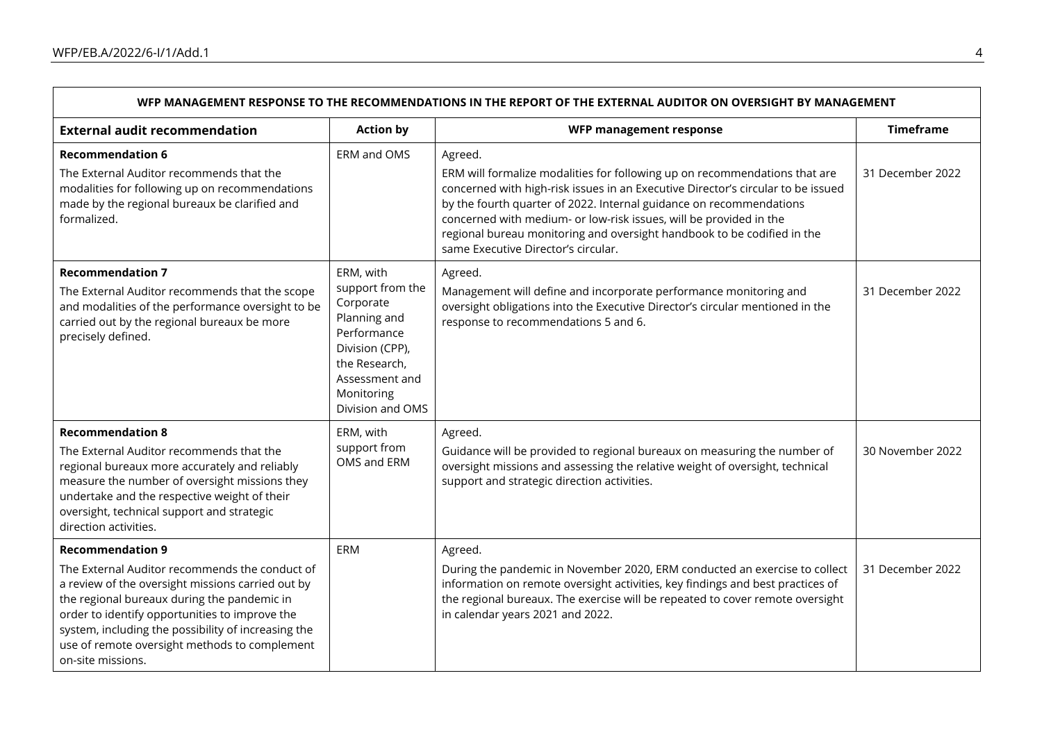$\mathbf{r}$ 

| WFP MANAGEMENT RESPONSE TO THE RECOMMENDATIONS IN THE REPORT OF THE EXTERNAL AUDITOR ON OVERSIGHT BY MANAGEMENT                                                                                                                                                                                                                                              |                                                                                                                                                                   |                                                                                                                                                                                                                                                                                                                                                                                                                                          |                  |
|--------------------------------------------------------------------------------------------------------------------------------------------------------------------------------------------------------------------------------------------------------------------------------------------------------------------------------------------------------------|-------------------------------------------------------------------------------------------------------------------------------------------------------------------|------------------------------------------------------------------------------------------------------------------------------------------------------------------------------------------------------------------------------------------------------------------------------------------------------------------------------------------------------------------------------------------------------------------------------------------|------------------|
| <b>External audit recommendation</b>                                                                                                                                                                                                                                                                                                                         | <b>Action by</b>                                                                                                                                                  | WFP management response                                                                                                                                                                                                                                                                                                                                                                                                                  | <b>Timeframe</b> |
| <b>Recommendation 6</b><br>The External Auditor recommends that the<br>modalities for following up on recommendations<br>made by the regional bureaux be clarified and<br>formalized.                                                                                                                                                                        | ERM and OMS                                                                                                                                                       | Agreed.<br>ERM will formalize modalities for following up on recommendations that are<br>concerned with high-risk issues in an Executive Director's circular to be issued<br>by the fourth quarter of 2022. Internal guidance on recommendations<br>concerned with medium- or low-risk issues, will be provided in the<br>regional bureau monitoring and oversight handbook to be codified in the<br>same Executive Director's circular. | 31 December 2022 |
| <b>Recommendation 7</b><br>The External Auditor recommends that the scope<br>and modalities of the performance oversight to be<br>carried out by the regional bureaux be more<br>precisely defined.                                                                                                                                                          | ERM, with<br>support from the<br>Corporate<br>Planning and<br>Performance<br>Division (CPP),<br>the Research,<br>Assessment and<br>Monitoring<br>Division and OMS | Agreed.<br>Management will define and incorporate performance monitoring and<br>oversight obligations into the Executive Director's circular mentioned in the<br>response to recommendations 5 and 6.                                                                                                                                                                                                                                    | 31 December 2022 |
| <b>Recommendation 8</b><br>The External Auditor recommends that the<br>regional bureaux more accurately and reliably<br>measure the number of oversight missions they<br>undertake and the respective weight of their<br>oversight, technical support and strategic<br>direction activities.                                                                 | ERM, with<br>support from<br>OMS and ERM                                                                                                                          | Agreed.<br>Guidance will be provided to regional bureaux on measuring the number of<br>oversight missions and assessing the relative weight of oversight, technical<br>support and strategic direction activities.                                                                                                                                                                                                                       | 30 November 2022 |
| <b>Recommendation 9</b><br>The External Auditor recommends the conduct of<br>a review of the oversight missions carried out by<br>the regional bureaux during the pandemic in<br>order to identify opportunities to improve the<br>system, including the possibility of increasing the<br>use of remote oversight methods to complement<br>on-site missions. | ERM                                                                                                                                                               | Agreed.<br>During the pandemic in November 2020, ERM conducted an exercise to collect<br>information on remote oversight activities, key findings and best practices of<br>the regional bureaux. The exercise will be repeated to cover remote oversight<br>in calendar years 2021 and 2022.                                                                                                                                             | 31 December 2022 |

 $\blacksquare$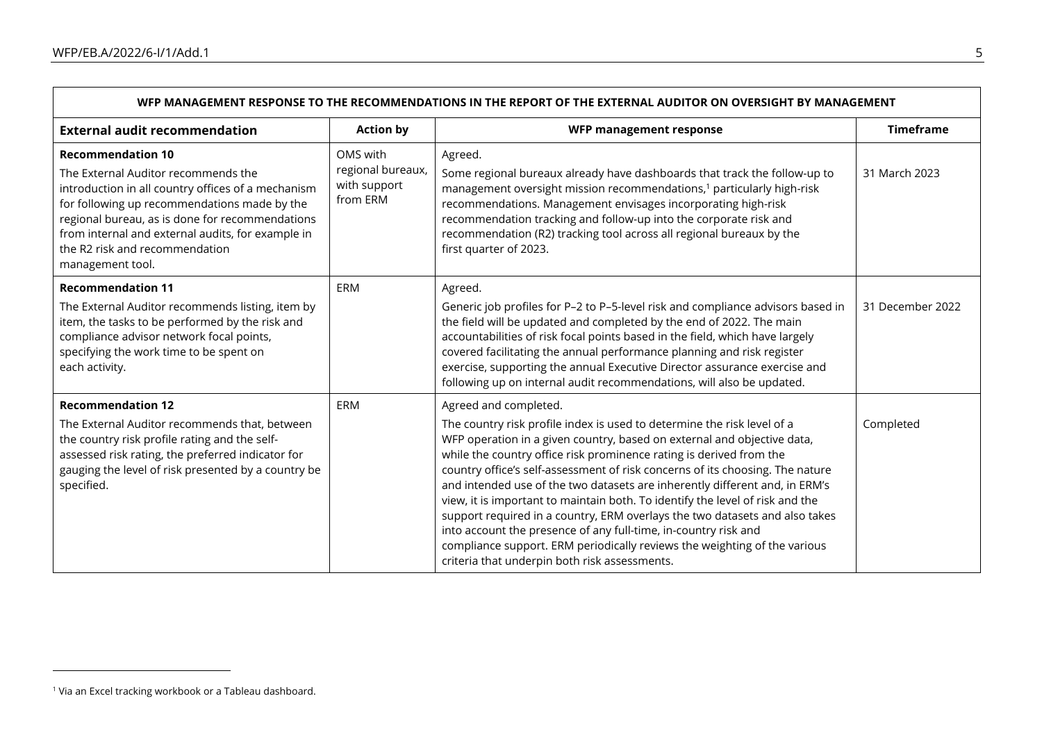$\Gamma$ 

| WFP MANAGEMENT RESPONSE TO THE RECOMMENDATIONS IN THE REPORT OF THE EXTERNAL AUDITOR ON OVERSIGHT BY MANAGEMENT                                                                                                                                                                                                                     |                                                           |                                                                                                                                                                                                                                                                                                                                                                                                                                                                                                                                                                                                                                                                                                                                                                                     |                  |
|-------------------------------------------------------------------------------------------------------------------------------------------------------------------------------------------------------------------------------------------------------------------------------------------------------------------------------------|-----------------------------------------------------------|-------------------------------------------------------------------------------------------------------------------------------------------------------------------------------------------------------------------------------------------------------------------------------------------------------------------------------------------------------------------------------------------------------------------------------------------------------------------------------------------------------------------------------------------------------------------------------------------------------------------------------------------------------------------------------------------------------------------------------------------------------------------------------------|------------------|
| <b>External audit recommendation</b>                                                                                                                                                                                                                                                                                                | <b>Action by</b>                                          | WFP management response                                                                                                                                                                                                                                                                                                                                                                                                                                                                                                                                                                                                                                                                                                                                                             | <b>Timeframe</b> |
| <b>Recommendation 10</b><br>The External Auditor recommends the<br>introduction in all country offices of a mechanism<br>for following up recommendations made by the<br>regional bureau, as is done for recommendations<br>from internal and external audits, for example in<br>the R2 risk and recommendation<br>management tool. | OMS with<br>regional bureaux,<br>with support<br>from ERM | Agreed.<br>Some regional bureaux already have dashboards that track the follow-up to<br>management oversight mission recommendations, <sup>1</sup> particularly high-risk<br>recommendations. Management envisages incorporating high-risk<br>recommendation tracking and follow-up into the corporate risk and<br>recommendation (R2) tracking tool across all regional bureaux by the<br>first quarter of 2023.                                                                                                                                                                                                                                                                                                                                                                   | 31 March 2023    |
| <b>Recommendation 11</b><br>The External Auditor recommends listing, item by<br>item, the tasks to be performed by the risk and<br>compliance advisor network focal points,<br>specifying the work time to be spent on<br>each activity.                                                                                            | ERM                                                       | Agreed.<br>Generic job profiles for P-2 to P-5-level risk and compliance advisors based in<br>the field will be updated and completed by the end of 2022. The main<br>accountabilities of risk focal points based in the field, which have largely<br>covered facilitating the annual performance planning and risk register<br>exercise, supporting the annual Executive Director assurance exercise and<br>following up on internal audit recommendations, will also be updated.                                                                                                                                                                                                                                                                                                  | 31 December 2022 |
| <b>Recommendation 12</b><br>The External Auditor recommends that, between<br>the country risk profile rating and the self-<br>assessed risk rating, the preferred indicator for<br>gauging the level of risk presented by a country be<br>specified.                                                                                | ERM                                                       | Agreed and completed.<br>The country risk profile index is used to determine the risk level of a<br>WFP operation in a given country, based on external and objective data,<br>while the country office risk prominence rating is derived from the<br>country office's self-assessment of risk concerns of its choosing. The nature<br>and intended use of the two datasets are inherently different and, in ERM's<br>view, it is important to maintain both. To identify the level of risk and the<br>support required in a country, ERM overlays the two datasets and also takes<br>into account the presence of any full-time, in-country risk and<br>compliance support. ERM periodically reviews the weighting of the various<br>criteria that underpin both risk assessments. | Completed        |

Ē.

<sup>&</sup>lt;sup>1</sup> Via an Excel tracking workbook or a Tableau dashboard.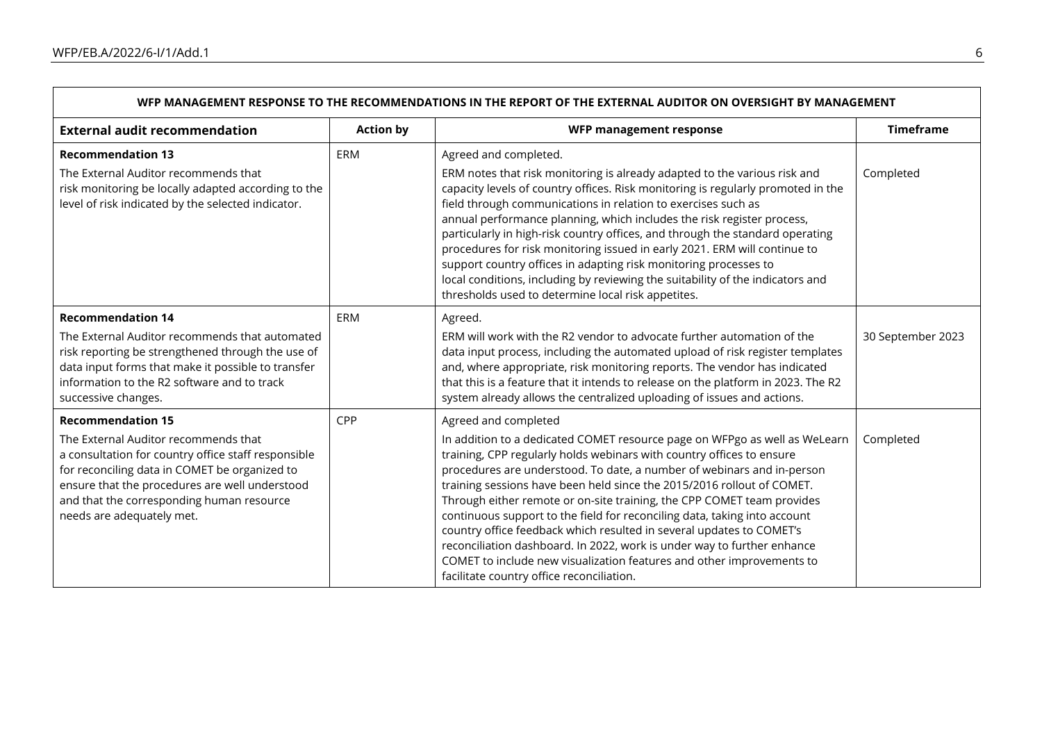$\Gamma$ 

| WFP MANAGEMENT RESPONSE TO THE RECOMMENDATIONS IN THE REPORT OF THE EXTERNAL AUDITOR ON OVERSIGHT BY MANAGEMENT                                                                                                                                                                                      |                  |                                                                                                                                                                                                                                                                                                                                                                                                                                                                                                                                                                                                                                                                                                                                                                 |                   |
|------------------------------------------------------------------------------------------------------------------------------------------------------------------------------------------------------------------------------------------------------------------------------------------------------|------------------|-----------------------------------------------------------------------------------------------------------------------------------------------------------------------------------------------------------------------------------------------------------------------------------------------------------------------------------------------------------------------------------------------------------------------------------------------------------------------------------------------------------------------------------------------------------------------------------------------------------------------------------------------------------------------------------------------------------------------------------------------------------------|-------------------|
| <b>External audit recommendation</b>                                                                                                                                                                                                                                                                 | <b>Action by</b> | WFP management response                                                                                                                                                                                                                                                                                                                                                                                                                                                                                                                                                                                                                                                                                                                                         | <b>Timeframe</b>  |
| <b>Recommendation 13</b><br>The External Auditor recommends that<br>risk monitoring be locally adapted according to the<br>level of risk indicated by the selected indicator.                                                                                                                        | ERM              | Agreed and completed.<br>ERM notes that risk monitoring is already adapted to the various risk and<br>capacity levels of country offices. Risk monitoring is regularly promoted in the<br>field through communications in relation to exercises such as<br>annual performance planning, which includes the risk register process,<br>particularly in high-risk country offices, and through the standard operating<br>procedures for risk monitoring issued in early 2021. ERM will continue to<br>support country offices in adapting risk monitoring processes to<br>local conditions, including by reviewing the suitability of the indicators and<br>thresholds used to determine local risk appetites.                                                     | Completed         |
| <b>Recommendation 14</b><br>The External Auditor recommends that automated<br>risk reporting be strengthened through the use of<br>data input forms that make it possible to transfer<br>information to the R2 software and to track<br>successive changes.                                          | ERM              | Agreed.<br>ERM will work with the R2 vendor to advocate further automation of the<br>data input process, including the automated upload of risk register templates<br>and, where appropriate, risk monitoring reports. The vendor has indicated<br>that this is a feature that it intends to release on the platform in 2023. The R2<br>system already allows the centralized uploading of issues and actions.                                                                                                                                                                                                                                                                                                                                                  | 30 September 2023 |
| <b>Recommendation 15</b><br>The External Auditor recommends that<br>a consultation for country office staff responsible<br>for reconciling data in COMET be organized to<br>ensure that the procedures are well understood<br>and that the corresponding human resource<br>needs are adequately met. | CPP              | Agreed and completed<br>In addition to a dedicated COMET resource page on WFPgo as well as WeLearn<br>training, CPP regularly holds webinars with country offices to ensure<br>procedures are understood. To date, a number of webinars and in-person<br>training sessions have been held since the 2015/2016 rollout of COMET.<br>Through either remote or on-site training, the CPP COMET team provides<br>continuous support to the field for reconciling data, taking into account<br>country office feedback which resulted in several updates to COMET's<br>reconciliation dashboard. In 2022, work is under way to further enhance<br>COMET to include new visualization features and other improvements to<br>facilitate country office reconciliation. | Completed         |

Ē.